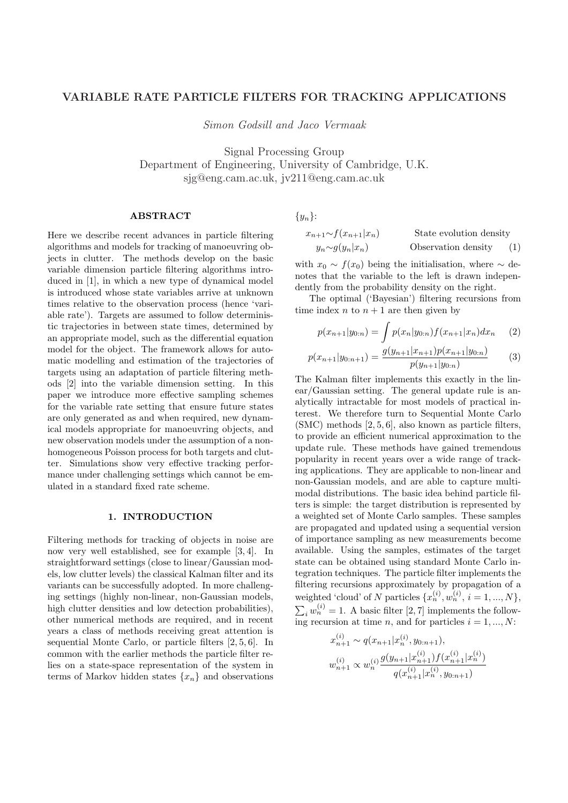# VARIABLE RATE PARTICLE FILTERS FOR TRACKING APPLICATIONS

Simon Godsill and Jaco Vermaak

Signal Processing Group Department of Engineering, University of Cambridge, U.K. sjg@eng.cam.ac.uk, jv211@eng.cam.ac.uk

# **ABSTRACT**

Here we describe recent advances in particle filtering algorithms and models for tracking of manoeuvring objects in clutter. The methods develop on the basic variable dimension particle filtering algorithms introduced in [1], in which a new type of dynamical model is introduced whose state variables arrive at unknown times relative to the observation process (hence 'variable rate'). Targets are assumed to follow deterministic trajectories in between state times, determined by an appropriate model, such as the differential equation model for the object. The framework allows for automatic modelling and estimation of the trajectories of targets using an adaptation of particle filtering methods [2] into the variable dimension setting. In this paper we introduce more effective sampling schemes for the variable rate setting that ensure future states are only generated as and when required, new dynamical models appropriate for manoeuvring objects, and new observation models under the assumption of a nonhomogeneous Poisson process for both targets and clutter. Simulations show very effective tracking performance under challenging settings which cannot be emulated in a standard fixed rate scheme.

# 1. INTRODUCTION

Filtering methods for tracking of objects in noise are now very well established, see for example [3, 4]. In straightforward settings (close to linear/Gaussian models, low clutter levels) the classical Kalman filter and its variants can be successfully adopted. In more challenging settings (highly non-linear, non-Gaussian models, high clutter densities and low detection probabilities), other numerical methods are required, and in recent years a class of methods receiving great attention is sequential Monte Carlo, or particle filters [2, 5, 6]. In common with the earlier methods the particle filter relies on a state-space representation of the system in terms of Markov hidden states  $\{x_n\}$  and observations

 $\{y_n\}$ :

$$
x_{n+1} \sim f(x_{n+1}|x_n)
$$
 State evolution density  

$$
y_n \sim g(y_n|x_n)
$$
 Observation density (1)

with  $x_0 \sim f(x_0)$  being the initialisation, where  $\sim$  denotes that the variable to the left is drawn independently from the probability density on the right.

The optimal ('Bayesian') filtering recursions from time index n to  $n + 1$  are then given by

$$
p(x_{n+1}|y_{0:n}) = \int p(x_n|y_{0:n}) f(x_{n+1}|x_n) dx_n \qquad (2)
$$

$$
p(x_{n+1}|y_{0:n+1}) = \frac{g(y_{n+1}|x_{n+1})p(x_{n+1}|y_{0:n})}{p(y_{n+1}|y_{0:n})}
$$
(3)

The Kalman filter implements this exactly in the linear/Gaussian setting. The general update rule is analytically intractable for most models of practical interest. We therefore turn to Sequential Monte Carlo (SMC) methods [2, 5, 6], also known as particle filters, to provide an efficient numerical approximation to the update rule. These methods have gained tremendous popularity in recent years over a wide range of tracking applications. They are applicable to non-linear and non-Gaussian models, and are able to capture multimodal distributions. The basic idea behind particle filters is simple: the target distribution is represented by a weighted set of Monte Carlo samples. These samples are propagated and updated using a sequential version of importance sampling as new measurements become available. Using the samples, estimates of the target state can be obtained using standard Monte Carlo integration techniques. The particle filter implements the filtering recursions approximately by propagation of a weighted 'cloud' of N particles  $\{x_n^{(i)}, w_n^{(i)}, i = 1, ..., N\},$  $i_{i} w_{n}^{(i)} = 1$ . A basic filter [2, 7] implements the following recursion at time n, and for particles  $i = 1, ..., N$ :

$$
x_{n+1}^{(i)} \sim q(x_{n+1}|x_n^{(i)}, y_{0:n+1}),
$$
  

$$
w_{n+1}^{(i)} \propto w_n^{(i)} \frac{g(y_{n+1}|x_{n+1}^{(i)})f(x_{n+1}^{(i)}|x_n^{(i)})}{q(x_{n+1}^{(i)}|x_n^{(i)}, y_{0:n+1})}
$$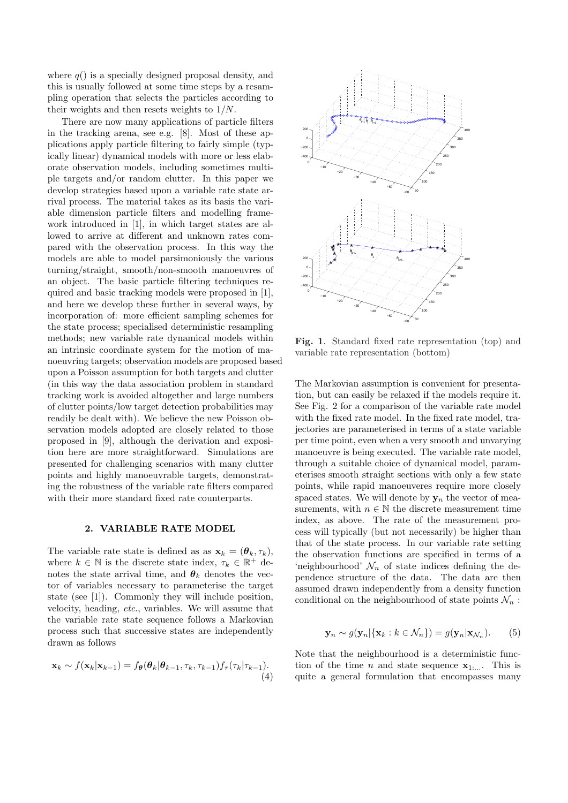where  $q()$  is a specially designed proposal density, and this is usually followed at some time steps by a resampling operation that selects the particles according to their weights and then resets weights to 1/N.

There are now many applications of particle filters in the tracking arena, see e.g. [8]. Most of these applications apply particle filtering to fairly simple (typically linear) dynamical models with more or less elaborate observation models, including sometimes multiple targets and/or random clutter. In this paper we develop strategies based upon a variable rate state arrival process. The material takes as its basis the variable dimension particle filters and modelling framework introduced in [1], in which target states are allowed to arrive at different and unknown rates compared with the observation process. In this way the models are able to model parsimoniously the various turning/straight, smooth/non-smooth manoeuvres of an object. The basic particle filtering techniques required and basic tracking models were proposed in [1], and here we develop these further in several ways, by incorporation of: more efficient sampling schemes for the state process; specialised deterministic resampling methods; new variable rate dynamical models within an intrinsic coordinate system for the motion of manoeuvring targets; observation models are proposed based upon a Poisson assumption for both targets and clutter (in this way the data association problem in standard tracking work is avoided altogether and large numbers of clutter points/low target detection probabilities may readily be dealt with). We believe the new Poisson observation models adopted are closely related to those proposed in [9], although the derivation and exposition here are more straightforward. Simulations are presented for challenging scenarios with many clutter points and highly manoeuvrable targets, demonstrating the robustness of the variable rate filters compared with their more standard fixed rate counterparts.

# 2. VARIABLE RATE MODEL

The variable rate state is defined as as  $\mathbf{x}_k = (\theta_k, \tau_k)$ , where  $k \in \mathbb{N}$  is the discrete state index,  $\tau_k \in \mathbb{R}^+$  denotes the state arrival time, and  $\theta_k$  denotes the vector of variables necessary to parameterise the target state (see [1]). Commonly they will include position, velocity, heading, etc., variables. We will assume that the variable rate state sequence follows a Markovian process such that successive states are independently drawn as follows

$$
\mathbf{x}_k \sim f(\mathbf{x}_k|\mathbf{x}_{k-1}) = f_{\boldsymbol{\theta}}(\boldsymbol{\theta}_k|\boldsymbol{\theta}_{k-1}, \tau_k, \tau_{k-1}) f_{\tau}(\tau_k|\tau_{k-1}).
$$
\n(4)



Fig. 1. Standard fixed rate representation (top) and variable rate representation (bottom)

The Markovian assumption is convenient for presentation, but can easily be relaxed if the models require it. See Fig. 2 for a comparison of the variable rate model with the fixed rate model. In the fixed rate model, trajectories are parameterised in terms of a state variable per time point, even when a very smooth and unvarying manoeuvre is being executed. The variable rate model, through a suitable choice of dynamical model, parameterises smooth straight sections with only a few state points, while rapid manoeuveres require more closely spaced states. We will denote by  $y_n$  the vector of measurements, with  $n \in \mathbb{N}$  the discrete measurement time index, as above. The rate of the measurement process will typically (but not necessarily) be higher than that of the state process. In our variable rate setting the observation functions are specified in terms of a 'neighbourhood'  $\mathcal{N}_n$  of state indices defining the dependence structure of the data. The data are then assumed drawn independently from a density function conditional on the neighbourhood of state points  $\mathcal{N}_n$ :

$$
\mathbf{y}_n \sim g(\mathbf{y}_n | \{\mathbf{x}_k : k \in \mathcal{N}_n\}) = g(\mathbf{y}_n | \mathbf{x}_{\mathcal{N}_n}).
$$
 (5)

Note that the neighbourhood is a deterministic function of the time *n* and state sequence  $\mathbf{x}_{1}$ .... This is quite a general formulation that encompasses many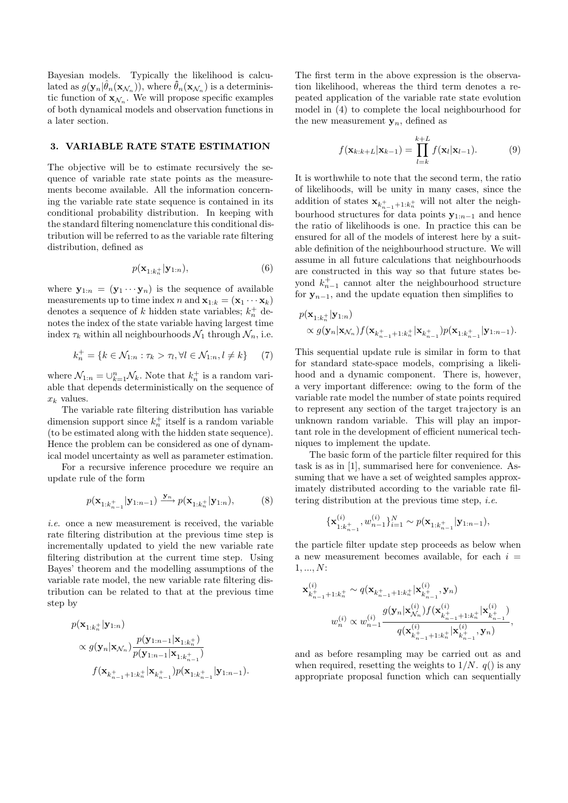Bayesian models. Typically the likelihood is calculated as  $g(\mathbf{y}_n|\hat{\theta}_n(\mathbf{x}_{\mathcal{N}_n}))$ , where  $\hat{\theta}_n(\mathbf{x}_{\mathcal{N}_n})$  is a deterministic function of  $\mathbf{x}_{\mathcal{N}_n}$ . We will propose specific examples of both dynamical models and observation functions in a later section.

### 3. VARIABLE RATE STATE ESTIMATION

The objective will be to estimate recursively the sequence of variable rate state points as the measurements become available. All the information concerning the variable rate state sequence is contained in its conditional probability distribution. In keeping with the standard filtering nomenclature this conditional distribution will be referred to as the variable rate filtering distribution, defined as

$$
p(\mathbf{x}_{1:k_n^+}|\mathbf{y}_{1:n}),\tag{6}
$$

where  $\mathbf{y}_{1:n} = (\mathbf{y}_1 \cdots \mathbf{y}_n)$  is the sequence of available measurements up to time index n and  $\mathbf{x}_{1:k} = (\mathbf{x}_1 \cdots \mathbf{x}_k)$ denotes a sequence of k hidden state variables;  $k_n^+$  denotes the index of the state variable having largest time index  $\tau_k$  within all neighbourhoods  $\mathcal{N}_1$  through  $\mathcal{N}_n$ , i.e.

$$
k_n^+ = \{ k \in \mathcal{N}_{1:n} : \tau_k > \tau_l, \forall l \in \mathcal{N}_{1:n}, l \neq k \} \tag{7}
$$

where  $\mathcal{N}_{1:n} = \bigcup_{k=1}^{n} \mathcal{N}_k$ . Note that  $k_n^+$  is a random variable that depends deterministically on the sequence of  $x_k$  values.

The variable rate filtering distribution has variable dimension support since  $k_n^+$  itself is a random variable (to be estimated along with the hidden state sequence). Hence the problem can be considered as one of dynamical model uncertainty as well as parameter estimation.

For a recursive inference procedure we require an update rule of the form

$$
p(\mathbf{x}_{1:k_{n-1}^{+}}|\mathbf{y}_{1:n-1}) \xrightarrow{\mathbf{y}_n} p(\mathbf{x}_{1:k_n^{+}}|\mathbf{y}_{1:n}),
$$
 (8)

i.e. once a new measurement is received, the variable rate filtering distribution at the previous time step is incrementally updated to yield the new variable rate filtering distribution at the current time step. Using Bayes' theorem and the modelling assumptions of the variable rate model, the new variable rate filtering distribution can be related to that at the previous time step by

$$
p(\mathbf{x}_{1:k_n^+}|\mathbf{y}_{1:n})
$$
  
 
$$
\propto g(\mathbf{y}_n|\mathbf{x}_{\mathcal{N}_n}) \frac{p(\mathbf{y}_{1:n-1}|\mathbf{x}_{1:k_n^+})}{p(\mathbf{y}_{1:n-1}|\mathbf{x}_{1:k_{n-1}^+})}
$$
  

$$
f(\mathbf{x}_{k_{n-1}^+ + 1:k_n^+}|\mathbf{x}_{k_{n-1}^+}) p(\mathbf{x}_{1:k_{n-1}^+}|\mathbf{y}_{1:n-1}).
$$

The first term in the above expression is the observation likelihood, whereas the third term denotes a repeated application of the variable rate state evolution model in (4) to complete the local neighbourhood for the new measurement  $y_n$ , defined as

$$
f(\mathbf{x}_{k:k+L}|\mathbf{x}_{k-1}) = \prod_{l=k}^{k+L} f(\mathbf{x}_l|\mathbf{x}_{l-1}).
$$
 (9)

It is worthwhile to note that the second term, the ratio of likelihoods, will be unity in many cases, since the addition of states  $\mathbf{x}_{k_{n-1}+1:k_n^+}$  will not alter the neighbourhood structures for data points  $y_{1:n-1}$  and hence the ratio of likelihoods is one. In practice this can be ensured for all of the models of interest here by a suitable definition of the neighbourhood structure. We will assume in all future calculations that neighbourhoods are constructed in this way so that future states beyond  $k_{n-1}^+$  cannot alter the neighbourhood structure for  $y_{n-1}$ , and the update equation then simplifies to

$$
\begin{split} &p(\mathbf{x}_{1:k_n^+}|\mathbf{y}_{1:n})\\ &\propto g(\mathbf{y}_n|\mathbf{x}_{\mathcal{N}_n})f(\mathbf{x}_{k_{n-1}^+ + 1:k_n^+}|\mathbf{x}_{k_{n-1}^+})p(\mathbf{x}_{1:k_{n-1}^+}|\mathbf{y}_{1:n-1}). \end{split}
$$

This sequential update rule is similar in form to that for standard state-space models, comprising a likelihood and a dynamic component. There is, however, a very important difference: owing to the form of the variable rate model the number of state points required to represent any section of the target trajectory is an unknown random variable. This will play an important role in the development of efficient numerical techniques to implement the update.

The basic form of the particle filter required for this task is as in [1], summarised here for convenience. Assuming that we have a set of weighted samples approximately distributed according to the variable rate filtering distribution at the previous time step, *i.e.* 

$$
\{\mathbf x_{1:k_{n-1}^+}^{(i)},w_{n-1}^{(i)}\}_{i=1}^N\sim p(\mathbf x_{1:k_{n-1}^+}|\mathbf y_{1:n-1}),
$$

the particle filter update step proceeds as below when a new measurement becomes available, for each  $i =$ 1, ..., N:

$$
\label{eq:1} \begin{split} \mathbf{x}^{(i)}_{k_{n-1}^++1:k_n^+} &\sim q(\mathbf{x}_{k_{n-1}^++1:k_n^+}|\mathbf{x}^{(i)}_{k_{n-1}^+},\mathbf{y}_n)\\ & w^{(i)}_n \propto w^{(i)}_{n-1}\frac{g(\mathbf{y}_n|\mathbf{x}^{(i)}_{\mathcal{N}_n})f(\mathbf{x}^{(i)}_{k_{n-1}^++1:k_n^+}|\mathbf{x}^{(i)}_{k_{n-1}^+})}{q(\mathbf{x}^{(i)}_{k_{n-1}^++1:k_n^+}|\mathbf{x}^{(i)}_{k_{n-1}^+},\mathbf{y}_n)}, \end{split}
$$

and as before resampling may be carried out as and when required, resetting the weights to  $1/N$ .  $q()$  is any appropriate proposal function which can sequentially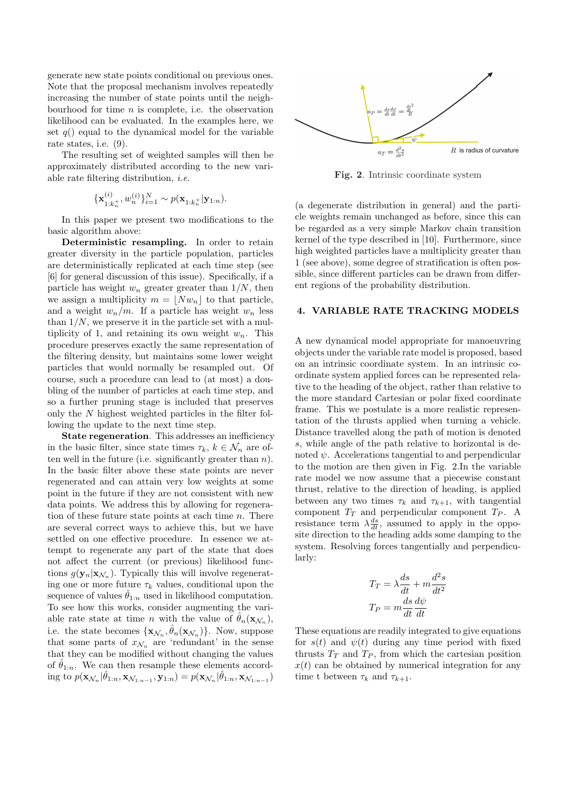generate new state points conditional on previous ones. Note that the proposal mechanism involves repeatedly increasing the number of state points until the neighbourhood for time  $n$  is complete, i.e. the observation likelihood can be evaluated. In the examples here, we set  $q()$  equal to the dynamical model for the variable rate states, i.e. (9).

The resulting set of weighted samples will then be approximately distributed according to the new variable rate filtering distribution, i.e.

$$
\{\mathbf x_{1:k_n^+}^{(i)}, w_n^{(i)}\}_{i=1}^N \sim p(\mathbf x_{1:k_n^+}|\mathbf y_{1:n}).
$$

In this paper we present two modifications to the basic algorithm above:

Deterministic resampling. In order to retain greater diversity in the particle population, particles are deterministically replicated at each time step (see [6] for general discussion of this issue). Specifically, if a particle has weight  $w_n$  greater greater than  $1/N$ , then we assign a multiplicity  $m = |Nw_n|$  to that particle, and a weight  $w_n/m$ . If a particle has weight  $w_n$  less than  $1/N$ , we preserve it in the particle set with a multiplicity of 1, and retaining its own weight  $w_n$ . This procedure preserves exactly the same representation of the filtering density, but maintains some lower weight particles that would normally be resampled out. Of course, such a procedure can lead to (at most) a doubling of the number of particles at each time step, and so a further pruning stage is included that preserves only the N highest weighted particles in the filter following the update to the next time step.

State regeneration. This addresses an inefficiency in the basic filter, since state times  $\tau_k, k \in \mathcal{N}_n$  are often well in the future (i.e. significantly greater than  $n$ ). In the basic filter above these state points are never regenerated and can attain very low weights at some point in the future if they are not consistent with new data points. We address this by allowing for regeneration of these future state points at each time  $n$ . There are several correct ways to achieve this, but we have settled on one effective procedure. In essence we attempt to regenerate any part of the state that does not affect the current (or previous) likelihood functions  $g(\mathbf{y}_n|\mathbf{x}_{\mathcal{N}_n})$ . Typically this will involve regenerating one or more future  $\tau_k$  values, conditional upon the sequence of values  $\theta_{1:n}$  used in likelihood computation. To see how this works, consider augmenting the variable rate state at time *n* with the value of  $\hat{\theta}_n(\mathbf{x}_{\mathcal{N}_n}),$ i.e. the state becomes  $\{\mathbf{x}_{\mathcal{N}_n}, \hat{\theta}_n(\mathbf{x}_{\mathcal{N}_n})\}$ . Now, suppose that some parts of  $x_{\mathcal{N}_n}$  are 'redundant' in the sense that they can be modified without changing the values of  $\hat{\theta}_{1:n}$ . We can then resample these elements according to  $p(\mathbf{x}_{\mathcal{N}_n}|\hat{\theta}_{1:n}, \mathbf{x}_{\mathcal{N}_{1:n-1}}, \mathbf{y}_{1:n}) = p(\mathbf{x}_{\mathcal{N}_n}|\hat{\theta}_{1:n}, \mathbf{x}_{\mathcal{N}_{1:n-1}})$ 



Fig. 2. Intrinsic coordinate system

(a degenerate distribution in general) and the particle weights remain unchanged as before, since this can be regarded as a very simple Markov chain transition kernel of the type described in [10]. Furthermore, since high weighted particles have a multiplicity greater than 1 (see above), some degree of stratification is often possible, since different particles can be drawn from different regions of the probability distribution.

# 4. VARIABLE RATE TRACKING MODELS

A new dynamical model appropriate for manoeuvring objects under the variable rate model is proposed, based on an intrinsic coordinate system. In an intrinsic coordinate system applied forces can be represented relative to the heading of the object, rather than relative to the more standard Cartesian or polar fixed coordinate frame. This we postulate is a more realistic representation of the thrusts applied when turning a vehicle. Distance travelled along the path of motion is denoted s, while angle of the path relative to horizontal is denoted  $\psi$ . Accelerations tangential to and perpendicular to the motion are then given in Fig. 2.In the variable rate model we now assume that a piecewise constant thrust, relative to the direction of heading, is applied between any two times  $\tau_k$  and  $\tau_{k+1}$ , with tangential component  $T_T$  and perpendicular component  $T_P$ . A resistance term  $\lambda \frac{ds}{dt}$ , assumed to apply in the opposite direction to the heading adds some damping to the system. Resolving forces tangentially and perpendicularly:

$$
T_T = \lambda \frac{ds}{dt} + m \frac{d^2s}{dt^2}
$$

$$
T_P = m \frac{ds}{dt} \frac{d\psi}{dt}
$$

These equations are readily integrated to give equations for  $s(t)$  and  $\psi(t)$  during any time period with fixed thrusts  $T_T$  and  $T_P$ , from which the cartesian position  $x(t)$  can be obtained by numerical integration for any time t between  $\tau_k$  and  $\tau_{k+1}$ .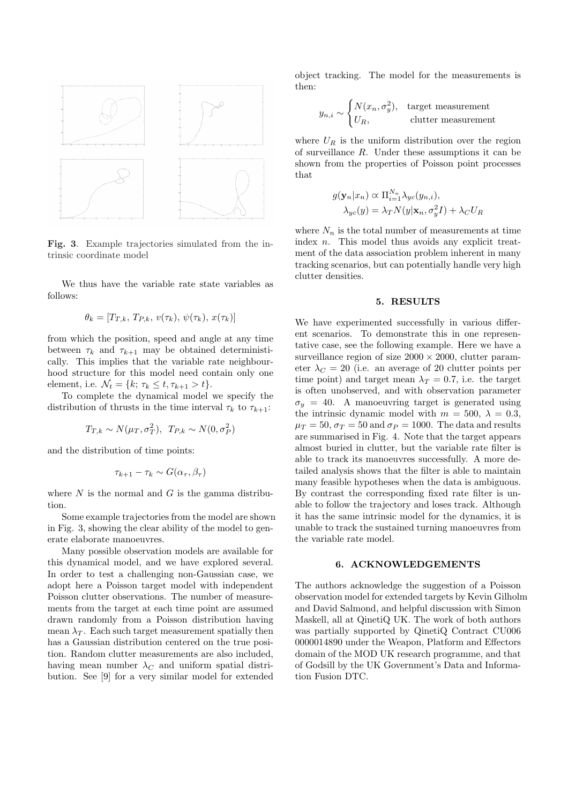

Fig. 3. Example trajectories simulated from the intrinsic coordinate model

We thus have the variable rate state variables as follows:

$$
\theta_k = [T_{T,k}, T_{P,k}, v(\tau_k), \psi(\tau_k), x(\tau_k)]
$$

from which the position, speed and angle at any time between  $\tau_k$  and  $\tau_{k+1}$  may be obtained deterministically. This implies that the variable rate neighbourhood structure for this model need contain only one element, i.e.  $\mathcal{N}_t = \{k; \tau_k \leq t, \tau_{k+1} > t\}.$ 

To complete the dynamical model we specify the distribution of thrusts in the time interval  $\tau_k$  to  $\tau_{k+1}$ :

$$
T_{T,k} \sim N(\mu_T, \sigma_T^2), \ T_{P,k} \sim N(0, \sigma_P^2)
$$

and the distribution of time points:

$$
\tau_{k+1} - \tau_k \sim G(\alpha_\tau, \beta_\tau)
$$

where  $N$  is the normal and  $G$  is the gamma distribution.

Some example trajectories from the model are shown in Fig. 3, showing the clear ability of the model to generate elaborate manoeuvres.

Many possible observation models are available for this dynamical model, and we have explored several. In order to test a challenging non-Gaussian case, we adopt here a Poisson target model with independent Poisson clutter observations. The number of measurements from the target at each time point are assumed drawn randomly from a Poisson distribution having mean  $\lambda_T$ . Each such target measurement spatially then has a Gaussian distribution centered on the true position. Random clutter measurements are also included, having mean number  $\lambda_C$  and uniform spatial distribution. See [9] for a very similar model for extended

object tracking. The model for the measurements is then:

$$
y_{n,i} \sim \begin{cases} N(x_n, \sigma_y^2), & \text{target measurement} \\ U_R, & \text{clutter measurement} \end{cases}
$$

where  $U_R$  is the uniform distribution over the region of surveillance  $R$ . Under these assumptions it can be shown from the properties of Poisson point processes that

$$
g(\mathbf{y}_n|x_n) \propto \Pi_{i=1}^{N_n} \lambda_{yc}(y_{n,i}),
$$
  

$$
\lambda_{yc}(y) = \lambda_T N(y|\mathbf{x}_n, \sigma_y^2 I) + \lambda_C U_R
$$

where  $N_n$  is the total number of measurements at time index *n*. This model thus avoids any explicit treatment of the data association problem inherent in many tracking scenarios, but can potentially handle very high clutter densities.

#### 5. RESULTS

We have experimented successfully in various different scenarios. To demonstrate this in one representative case, see the following example. Here we have a surveillance region of size  $2000 \times 2000$ , clutter parameter  $\lambda_C = 20$  (i.e. an average of 20 clutter points per time point) and target mean  $\lambda_T = 0.7$ , i.e. the target is often unobserved, and with observation parameter  $\sigma_u = 40$ . A manoeuvring target is generated using the intrinsic dynamic model with  $m = 500, \lambda = 0.3$ ,  $\mu_T = 50$ ,  $\sigma_T = 50$  and  $\sigma_P = 1000$ . The data and results are summarised in Fig. 4. Note that the target appears almost buried in clutter, but the variable rate filter is able to track its manoeuvres successfully. A more detailed analysis shows that the filter is able to maintain many feasible hypotheses when the data is ambiguous. By contrast the corresponding fixed rate filter is unable to follow the trajectory and loses track. Although it has the same intrinsic model for the dynamics, it is unable to track the sustained turning manoeuvres from the variable rate model.

### 6. ACKNOWLEDGEMENTS

The authors acknowledge the suggestion of a Poisson observation model for extended targets by Kevin Gilholm and David Salmond, and helpful discussion with Simon Maskell, all at QinetiQ UK. The work of both authors was partially supported by QinetiQ Contract CU006 0000014890 under the Weapon, Platform and Effectors domain of the MOD UK research programme, and that of Godsill by the UK Government's Data and Information Fusion DTC.